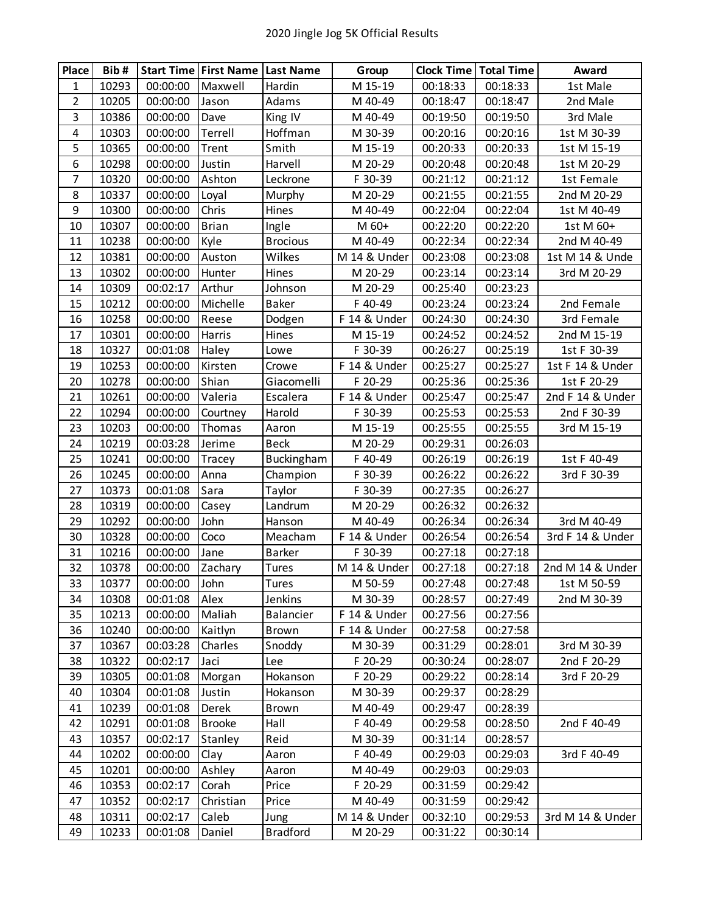| <b>Place</b>   | Bib#  |          | <b>Start Time First Name Last Name</b> |                 | Group        | <b>Clock Time   Total Time</b> |          | Award            |
|----------------|-------|----------|----------------------------------------|-----------------|--------------|--------------------------------|----------|------------------|
| 1              | 10293 | 00:00:00 | Maxwell                                | Hardin          | M 15-19      | 00:18:33                       | 00:18:33 | 1st Male         |
| $\overline{2}$ | 10205 | 00:00:00 | Jason                                  | Adams           | M 40-49      | 00:18:47                       | 00:18:47 | 2nd Male         |
| $\mathbf{3}$   | 10386 | 00:00:00 | Dave                                   | King IV         | M 40-49      | 00:19:50                       | 00:19:50 | 3rd Male         |
| 4              | 10303 | 00:00:00 | Terrell                                | Hoffman         | M 30-39      | 00:20:16                       | 00:20:16 | 1st M 30-39      |
| 5              | 10365 | 00:00:00 | Trent                                  | Smith           | M 15-19      | 00:20:33                       | 00:20:33 | 1st M 15-19      |
| 6              | 10298 | 00:00:00 | Justin                                 | Harvell         | M 20-29      | 00:20:48                       | 00:20:48 | 1st M 20-29      |
| $\overline{7}$ | 10320 | 00:00:00 | Ashton                                 | Leckrone        | F 30-39      | 00:21:12                       | 00:21:12 | 1st Female       |
| 8              | 10337 | 00:00:00 | Loyal                                  | Murphy          | M 20-29      | 00:21:55                       | 00:21:55 | 2nd M 20-29      |
| 9              | 10300 | 00:00:00 | Chris                                  | Hines           | M 40-49      | 00:22:04                       | 00:22:04 | 1st M 40-49      |
| 10             | 10307 | 00:00:00 | <b>Brian</b>                           | Ingle           | M 60+        | 00:22:20                       | 00:22:20 | 1st M 60+        |
| 11             | 10238 | 00:00:00 | Kyle                                   | <b>Brocious</b> | M 40-49      | 00:22:34                       | 00:22:34 | 2nd M 40-49      |
| 12             | 10381 | 00:00:00 | Auston                                 | Wilkes          | M 14 & Under | 00:23:08                       | 00:23:08 | 1st M 14 & Unde  |
| 13             | 10302 | 00:00:00 | Hunter                                 | Hines           | M 20-29      | 00:23:14                       | 00:23:14 | 3rd M 20-29      |
| 14             | 10309 | 00:02:17 | Arthur                                 | Johnson         | M 20-29      | 00:25:40                       | 00:23:23 |                  |
| 15             | 10212 | 00:00:00 | Michelle                               | <b>Baker</b>    | F 40-49      | 00:23:24                       | 00:23:24 | 2nd Female       |
| 16             | 10258 | 00:00:00 | Reese                                  | Dodgen          | F 14 & Under | 00:24:30                       | 00:24:30 | 3rd Female       |
| 17             | 10301 | 00:00:00 | Harris                                 | Hines           | M 15-19      | 00:24:52                       | 00:24:52 | 2nd M 15-19      |
| 18             | 10327 | 00:01:08 | Haley                                  | Lowe            | F 30-39      | 00:26:27                       | 00:25:19 | 1st F 30-39      |
| 19             | 10253 | 00:00:00 | Kirsten                                | Crowe           | F 14 & Under | 00:25:27                       | 00:25:27 | 1st F 14 & Under |
| 20             | 10278 | 00:00:00 | Shian                                  | Giacomelli      | F 20-29      | 00:25:36                       | 00:25:36 | 1st F 20-29      |
| 21             | 10261 | 00:00:00 | Valeria                                | Escalera        | F 14 & Under | 00:25:47                       | 00:25:47 | 2nd F 14 & Under |
| 22             | 10294 | 00:00:00 | Courtney                               | Harold          | F 30-39      | 00:25:53                       | 00:25:53 | 2nd F 30-39      |
| 23             | 10203 | 00:00:00 | Thomas                                 | Aaron           | M 15-19      | 00:25:55                       | 00:25:55 | 3rd M 15-19      |
| 24             | 10219 | 00:03:28 | Jerime                                 | <b>Beck</b>     | M 20-29      | 00:29:31                       | 00:26:03 |                  |
| 25             | 10241 | 00:00:00 | Tracey                                 | Buckingham      | F 40-49      | 00:26:19                       | 00:26:19 | 1st F 40-49      |
| 26             | 10245 | 00:00:00 | Anna                                   | Champion        | F 30-39      | 00:26:22                       | 00:26:22 | 3rd F 30-39      |
| 27             | 10373 | 00:01:08 | Sara                                   | Taylor          | F 30-39      | 00:27:35                       | 00:26:27 |                  |
| 28             | 10319 | 00:00:00 | Casey                                  | Landrum         | M 20-29      | 00:26:32                       | 00:26:32 |                  |
| 29             | 10292 | 00:00:00 | John                                   | Hanson          | M 40-49      | 00:26:34                       | 00:26:34 | 3rd M 40-49      |
| 30             | 10328 | 00:00:00 | Coco                                   | Meacham         | F 14 & Under | 00:26:54                       | 00:26:54 | 3rd F 14 & Under |
| 31             | 10216 | 00:00:00 | Jane                                   | <b>Barker</b>   | F 30-39      | 00:27:18                       | 00:27:18 |                  |
| 32             | 10378 | 00:00:00 | Zachary                                | Tures           | M 14 & Under | 00:27:18                       | 00:27:18 | 2nd M 14 & Under |
| 33             | 10377 | 00:00:00 | John                                   | Tures           | M 50-59      | 00:27:48                       | 00:27:48 | 1st M 50-59      |
| 34             | 10308 | 00:01:08 | Alex                                   | Jenkins         | M 30-39      | 00:28:57                       | 00:27:49 | 2nd M 30-39      |
| 35             | 10213 | 00:00:00 | Maliah                                 | Balancier       | F 14 & Under | 00:27:56                       | 00:27:56 |                  |
| 36             | 10240 | 00:00:00 | Kaitlyn                                | Brown           | F 14 & Under | 00:27:58                       | 00:27:58 |                  |
| 37             | 10367 | 00:03:28 | Charles                                | Snoddy          | M 30-39      | 00:31:29                       | 00:28:01 | 3rd M 30-39      |
| 38             | 10322 | 00:02:17 | Jaci                                   | Lee             | F 20-29      | 00:30:24                       | 00:28:07 | 2nd F 20-29      |
| 39             | 10305 | 00:01:08 | Morgan                                 | Hokanson        | F 20-29      | 00:29:22                       | 00:28:14 | 3rd F 20-29      |
| 40             | 10304 | 00:01:08 | Justin                                 | Hokanson        | M 30-39      | 00:29:37                       | 00:28:29 |                  |
| 41             | 10239 | 00:01:08 | Derek                                  | Brown           | M 40-49      | 00:29:47                       | 00:28:39 |                  |
| 42             | 10291 | 00:01:08 | <b>Brooke</b>                          | Hall            | F 40-49      | 00:29:58                       | 00:28:50 | 2nd F 40-49      |
| 43             | 10357 | 00:02:17 | Stanley                                | Reid            | M 30-39      | 00:31:14                       | 00:28:57 |                  |
| 44             | 10202 | 00:00:00 | Clay                                   | Aaron           | F 40-49      | 00:29:03                       | 00:29:03 | 3rd F 40-49      |
| 45             | 10201 | 00:00:00 | Ashley                                 | Aaron           | M 40-49      | 00:29:03                       | 00:29:03 |                  |
| 46             | 10353 | 00:02:17 | Corah                                  | Price           | F 20-29      | 00:31:59                       | 00:29:42 |                  |
| 47             | 10352 | 00:02:17 | Christian                              | Price           | M 40-49      | 00:31:59                       | 00:29:42 |                  |
| 48             | 10311 | 00:02:17 | Caleb                                  | Jung            | M 14 & Under | 00:32:10                       | 00:29:53 | 3rd M 14 & Under |
| 49             | 10233 | 00:01:08 | Daniel                                 | <b>Bradford</b> | M 20-29      | 00:31:22                       | 00:30:14 |                  |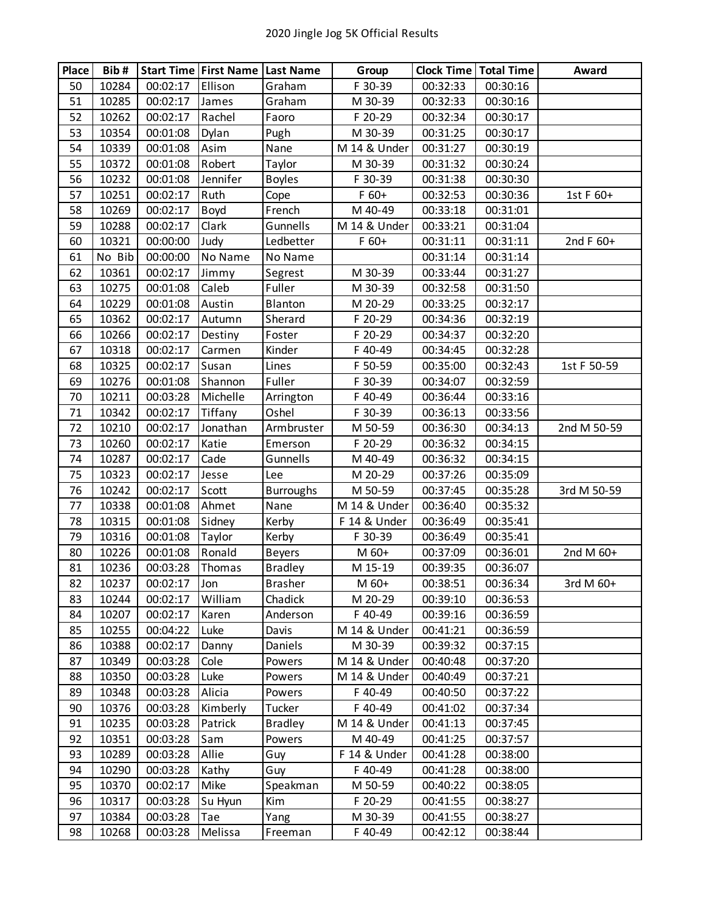| Place | Bib#   |          | <b>Start Time First Name Last Name</b> |                  | Group        | <b>Clock Time   Total Time</b> |          | Award       |
|-------|--------|----------|----------------------------------------|------------------|--------------|--------------------------------|----------|-------------|
| 50    | 10284  | 00:02:17 | Ellison                                | Graham           | F 30-39      | 00:32:33                       | 00:30:16 |             |
| 51    | 10285  | 00:02:17 | James                                  | Graham           | M 30-39      | 00:32:33                       | 00:30:16 |             |
| 52    | 10262  | 00:02:17 | Rachel                                 | Faoro            | F 20-29      | 00:32:34                       | 00:30:17 |             |
| 53    | 10354  | 00:01:08 | Dylan                                  | Pugh             | M 30-39      | 00:31:25                       | 00:30:17 |             |
| 54    | 10339  | 00:01:08 | Asim                                   | Nane             | M 14 & Under | 00:31:27                       | 00:30:19 |             |
| 55    | 10372  | 00:01:08 | Robert                                 | Taylor           | M 30-39      | 00:31:32                       | 00:30:24 |             |
| 56    | 10232  | 00:01:08 | Jennifer                               | <b>Boyles</b>    | F 30-39      | 00:31:38                       | 00:30:30 |             |
| 57    | 10251  | 00:02:17 | Ruth                                   | Cope             | $F$ 60+      | 00:32:53                       | 00:30:36 | 1st F 60+   |
| 58    | 10269  | 00:02:17 | Boyd                                   | French           | M 40-49      | 00:33:18                       | 00:31:01 |             |
| 59    | 10288  | 00:02:17 | Clark                                  | Gunnells         | M 14 & Under | 00:33:21                       | 00:31:04 |             |
| 60    | 10321  | 00:00:00 | Judy                                   | Ledbetter        | $F 60+$      | 00:31:11                       | 00:31:11 | 2nd F 60+   |
| 61    | No Bib | 00:00:00 | No Name                                | No Name          |              | 00:31:14                       | 00:31:14 |             |
| 62    | 10361  | 00:02:17 | Jimmy                                  | Segrest          | M 30-39      | 00:33:44                       | 00:31:27 |             |
| 63    | 10275  | 00:01:08 | Caleb                                  | Fuller           | M 30-39      | 00:32:58                       | 00:31:50 |             |
| 64    | 10229  | 00:01:08 | Austin                                 | Blanton          | M 20-29      | 00:33:25                       | 00:32:17 |             |
| 65    | 10362  | 00:02:17 | Autumn                                 | Sherard          | F 20-29      | 00:34:36                       | 00:32:19 |             |
| 66    | 10266  | 00:02:17 | Destiny                                | Foster           | F 20-29      | 00:34:37                       | 00:32:20 |             |
| 67    | 10318  | 00:02:17 | Carmen                                 | Kinder           | F 40-49      | 00:34:45                       | 00:32:28 |             |
| 68    | 10325  | 00:02:17 | Susan                                  | Lines            | F 50-59      | 00:35:00                       | 00:32:43 | 1st F 50-59 |
| 69    | 10276  | 00:01:08 | Shannon                                | Fuller           | F 30-39      | 00:34:07                       | 00:32:59 |             |
| 70    | 10211  | 00:03:28 | Michelle                               | Arrington        | F 40-49      | 00:36:44                       | 00:33:16 |             |
| 71    | 10342  | 00:02:17 | Tiffany                                | Oshel            | F 30-39      | 00:36:13                       | 00:33:56 |             |
| 72    | 10210  | 00:02:17 | Jonathan                               | Armbruster       | M 50-59      | 00:36:30                       | 00:34:13 | 2nd M 50-59 |
| 73    | 10260  | 00:02:17 | Katie                                  | Emerson          | F 20-29      | 00:36:32                       | 00:34:15 |             |
| 74    | 10287  | 00:02:17 | Cade                                   | Gunnells         | M 40-49      | 00:36:32                       | 00:34:15 |             |
| 75    | 10323  | 00:02:17 | Jesse                                  | Lee              | M 20-29      | 00:37:26                       | 00:35:09 |             |
| 76    | 10242  | 00:02:17 | Scott                                  | <b>Burroughs</b> | M 50-59      | 00:37:45                       | 00:35:28 | 3rd M 50-59 |
| 77    | 10338  | 00:01:08 | Ahmet                                  | Nane             | M 14 & Under | 00:36:40                       | 00:35:32 |             |
| 78    | 10315  | 00:01:08 | Sidney                                 | Kerby            | F 14 & Under | 00:36:49                       | 00:35:41 |             |
| 79    | 10316  | 00:01:08 | Taylor                                 | Kerby            | F 30-39      | 00:36:49                       | 00:35:41 |             |
| 80    | 10226  | 00:01:08 | Ronald                                 | <b>Beyers</b>    | M 60+        | 00:37:09                       | 00:36:01 | 2nd M 60+   |
| 81    | 10236  | 00:03:28 | Thomas                                 | <b>Bradley</b>   | M 15-19      | 00:39:35                       | 00:36:07 |             |
| 82    | 10237  | 00:02:17 | Jon                                    | <b>Brasher</b>   | M 60+        | 00:38:51                       | 00:36:34 | 3rd M 60+   |
| 83    | 10244  | 00:02:17 | William                                | Chadick          | M 20-29      | 00:39:10                       | 00:36:53 |             |
| 84    | 10207  | 00:02:17 | Karen                                  | Anderson         | F 40-49      | 00:39:16                       | 00:36:59 |             |
| 85    | 10255  | 00:04:22 | Luke                                   | Davis            | M 14 & Under | 00:41:21                       | 00:36:59 |             |
| 86    | 10388  | 00:02:17 | Danny                                  | Daniels          | M 30-39      | 00:39:32                       | 00:37:15 |             |
| 87    | 10349  | 00:03:28 | Cole                                   | Powers           | M 14 & Under | 00:40:48                       | 00:37:20 |             |
| 88    | 10350  | 00:03:28 | Luke                                   | Powers           | M 14 & Under | 00:40:49                       | 00:37:21 |             |
| 89    | 10348  | 00:03:28 | Alicia                                 | Powers           | F 40-49      | 00:40:50                       | 00:37:22 |             |
| 90    | 10376  | 00:03:28 | Kimberly                               | Tucker           | F 40-49      | 00:41:02                       | 00:37:34 |             |
| 91    | 10235  | 00:03:28 | Patrick                                | <b>Bradley</b>   | M 14 & Under | 00:41:13                       | 00:37:45 |             |
| 92    | 10351  | 00:03:28 | Sam                                    | Powers           | M 40-49      | 00:41:25                       | 00:37:57 |             |
| 93    | 10289  | 00:03:28 | Allie                                  | Guy              | F 14 & Under | 00:41:28                       | 00:38:00 |             |
| 94    | 10290  | 00:03:28 | Kathy                                  | Guy              | F 40-49      | 00:41:28                       | 00:38:00 |             |
| 95    | 10370  | 00:02:17 | Mike                                   | Speakman         | M 50-59      | 00:40:22                       | 00:38:05 |             |
| 96    | 10317  | 00:03:28 | Su Hyun                                | Kim              | F 20-29      | 00:41:55                       | 00:38:27 |             |
| 97    | 10384  | 00:03:28 | Tae                                    | Yang             | M 30-39      | 00:41:55                       | 00:38:27 |             |
| 98    | 10268  | 00:03:28 | Melissa                                | Freeman          | F 40-49      | 00:42:12                       | 00:38:44 |             |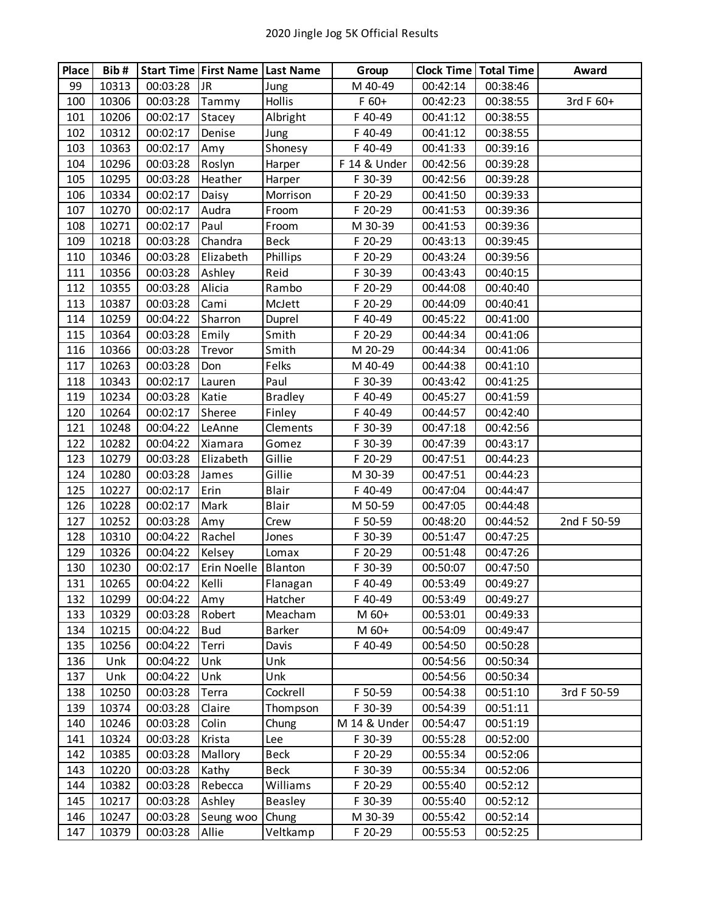| Place | Bib#  |          | Start Time   First Name   Last Name |                | Group        | <b>Clock Time   Total Time</b> |          | Award       |
|-------|-------|----------|-------------------------------------|----------------|--------------|--------------------------------|----------|-------------|
| 99    | 10313 | 00:03:28 | <b>JR</b>                           | Jung           | M 40-49      | 00:42:14                       | 00:38:46 |             |
| 100   | 10306 | 00:03:28 | Tammy                               | Hollis         | $F$ 60+      | 00:42:23                       | 00:38:55 | 3rd F 60+   |
| 101   | 10206 | 00:02:17 | Stacey                              | Albright       | F 40-49      | 00:41:12                       | 00:38:55 |             |
| 102   | 10312 | 00:02:17 | Denise                              | Jung           | F 40-49      | 00:41:12                       | 00:38:55 |             |
| 103   | 10363 | 00:02:17 | Amy                                 | Shonesy        | F 40-49      | 00:41:33                       | 00:39:16 |             |
| 104   | 10296 | 00:03:28 | Roslyn                              | Harper         | F 14 & Under | 00:42:56                       | 00:39:28 |             |
| 105   | 10295 | 00:03:28 | Heather                             | Harper         | F 30-39      | 00:42:56                       | 00:39:28 |             |
| 106   | 10334 | 00:02:17 | Daisy                               | Morrison       | F 20-29      | 00:41:50                       | 00:39:33 |             |
| 107   | 10270 | 00:02:17 | Audra                               | Froom          | F 20-29      | 00:41:53                       | 00:39:36 |             |
| 108   | 10271 | 00:02:17 | Paul                                | Froom          | M 30-39      | 00:41:53                       | 00:39:36 |             |
| 109   | 10218 | 00:03:28 | Chandra                             | <b>Beck</b>    | F 20-29      | 00:43:13                       | 00:39:45 |             |
| 110   | 10346 | 00:03:28 | Elizabeth                           | Phillips       | F 20-29      | 00:43:24                       | 00:39:56 |             |
| 111   | 10356 | 00:03:28 | Ashley                              | Reid           | F 30-39      | 00:43:43                       | 00:40:15 |             |
| 112   | 10355 | 00:03:28 | Alicia                              | Rambo          | F 20-29      | 00:44:08                       | 00:40:40 |             |
| 113   | 10387 | 00:03:28 | Cami                                | McJett         | F 20-29      | 00:44:09                       | 00:40:41 |             |
| 114   | 10259 | 00:04:22 | Sharron                             | Duprel         | F 40-49      | 00:45:22                       | 00:41:00 |             |
| 115   | 10364 | 00:03:28 | Emily                               | Smith          | F 20-29      | 00:44:34                       | 00:41:06 |             |
| 116   | 10366 | 00:03:28 | Trevor                              | Smith          | M 20-29      | 00:44:34                       | 00:41:06 |             |
| 117   | 10263 | 00:03:28 | Don                                 | Felks          | M 40-49      | 00:44:38                       | 00:41:10 |             |
| 118   | 10343 | 00:02:17 | Lauren                              | Paul           | F 30-39      | 00:43:42                       | 00:41:25 |             |
| 119   | 10234 | 00:03:28 | Katie                               | <b>Bradley</b> | F 40-49      | 00:45:27                       | 00:41:59 |             |
| 120   | 10264 | 00:02:17 | Sheree                              | Finley         | F 40-49      | 00:44:57                       | 00:42:40 |             |
| 121   | 10248 | 00:04:22 | LeAnne                              | Clements       | F 30-39      | 00:47:18                       | 00:42:56 |             |
| 122   | 10282 | 00:04:22 | Xiamara                             | Gomez          | F 30-39      | 00:47:39                       | 00:43:17 |             |
| 123   | 10279 | 00:03:28 | Elizabeth                           | Gillie         | F 20-29      | 00:47:51                       | 00:44:23 |             |
| 124   | 10280 | 00:03:28 | James                               | Gillie         | M 30-39      | 00:47:51                       | 00:44:23 |             |
| 125   | 10227 | 00:02:17 | Erin                                | Blair          | F 40-49      | 00:47:04                       | 00:44:47 |             |
| 126   | 10228 | 00:02:17 | Mark                                | <b>Blair</b>   | M 50-59      | 00:47:05                       | 00:44:48 |             |
| 127   | 10252 | 00:03:28 | Amy                                 | Crew           | F 50-59      | 00:48:20                       | 00:44:52 | 2nd F 50-59 |
| 128   | 10310 | 00:04:22 | Rachel                              | Jones          | F 30-39      | 00:51:47                       | 00:47:25 |             |
| 129   | 10326 | 00:04:22 | Kelsey                              | Lomax          | F 20-29      | 00:51:48                       | 00:47:26 |             |
| 130   | 10230 | 00:02:17 | Erin Noelle   Blanton               |                | F 30-39      | 00:50:07                       | 00:47:50 |             |
| 131   | 10265 | 00:04:22 | Kelli                               | Flanagan       | F 40-49      | 00:53:49                       | 00:49:27 |             |
| 132   | 10299 | 00:04:22 | Amy                                 | Hatcher        | F 40-49      | 00:53:49                       | 00:49:27 |             |
| 133   | 10329 | 00:03:28 | Robert                              | Meacham        | M 60+        | 00:53:01                       | 00:49:33 |             |
| 134   | 10215 | 00:04:22 | <b>Bud</b>                          | Barker         | M 60+        | 00:54:09                       | 00:49:47 |             |
| 135   | 10256 | 00:04:22 | Terri                               | Davis          | F 40-49      | 00:54:50                       | 00:50:28 |             |
| 136   | Unk   | 00:04:22 | Unk                                 | Unk            |              | 00:54:56                       | 00:50:34 |             |
| 137   | Unk   | 00:04:22 | Unk                                 | Unk            |              | 00:54:56                       | 00:50:34 |             |
| 138   | 10250 | 00:03:28 | Terra                               | Cockrell       | F 50-59      | 00:54:38                       | 00:51:10 | 3rd F 50-59 |
| 139   | 10374 | 00:03:28 | Claire                              | Thompson       | F 30-39      | 00:54:39                       | 00:51:11 |             |
| 140   | 10246 | 00:03:28 | Colin                               | Chung          | M 14 & Under | 00:54:47                       | 00:51:19 |             |
| 141   | 10324 | 00:03:28 | Krista                              | Lee            | F 30-39      | 00:55:28                       | 00:52:00 |             |
| 142   | 10385 | 00:03:28 | Mallory                             | Beck           | F 20-29      | 00:55:34                       | 00:52:06 |             |
| 143   | 10220 | 00:03:28 | Kathy                               | <b>Beck</b>    | F 30-39      | 00:55:34                       | 00:52:06 |             |
| 144   | 10382 | 00:03:28 | Rebecca                             | Williams       | F 20-29      | 00:55:40                       | 00:52:12 |             |
| 145   | 10217 | 00:03:28 | Ashley                              | Beasley        | F 30-39      | 00:55:40                       | 00:52:12 |             |
| 146   | 10247 | 00:03:28 | Seung woo                           | Chung          | M 30-39      | 00:55:42                       | 00:52:14 |             |
| 147   | 10379 | 00:03:28 | Allie                               | Veltkamp       | F 20-29      | 00:55:53                       | 00:52:25 |             |